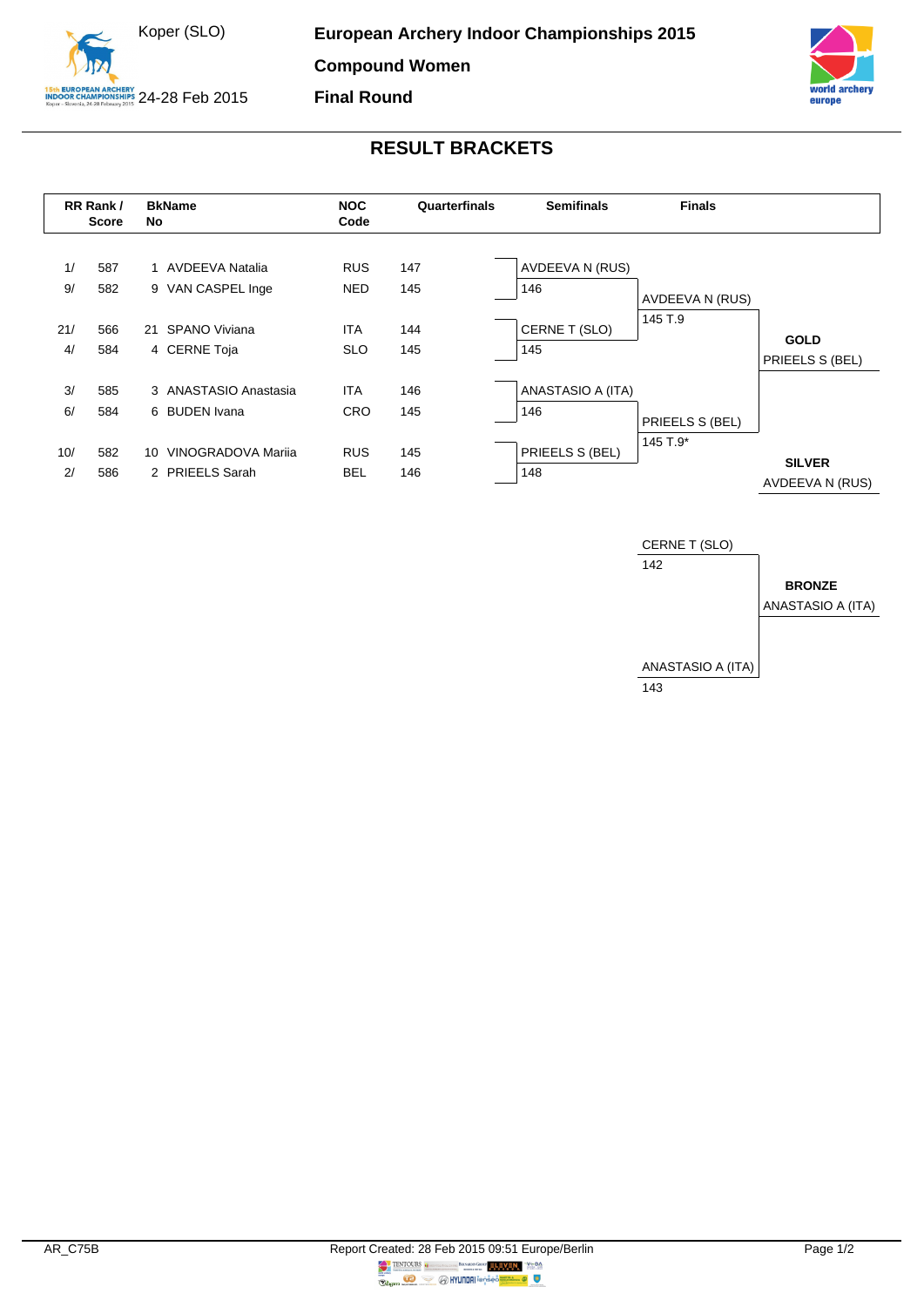



## **RESULT BRACKETS**